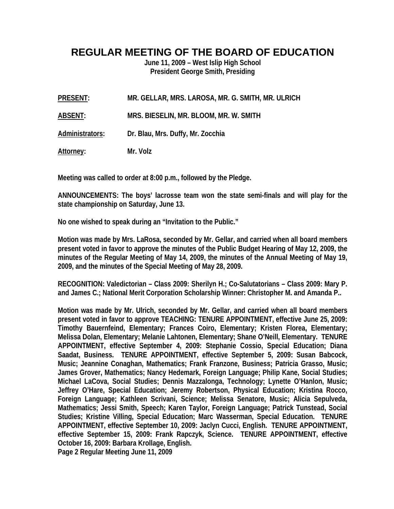## **REGULAR MEETING OF THE BOARD OF EDUCATION**

**June 11, 2009 – West Islip High School President George Smith, Presiding** 

**PRESENT: MR. GELLAR, MRS. LAROSA, MR. G. SMITH, MR. ULRICH** 

**ABSENT: MRS. BIESELIN, MR. BLOOM, MR. W. SMITH** 

**Administrators: Dr. Blau, Mrs. Duffy, Mr. Zocchia** 

**Attorney: Mr. Volz** 

**Meeting was called to order at 8:00 p.m., followed by the Pledge.** 

**ANNOUNCEMENTS: The boys' lacrosse team won the state semi-finals and will play for the state championship on Saturday, June 13.** 

**No one wished to speak during an "Invitation to the Public."** 

**Motion was made by Mrs. LaRosa, seconded by Mr. Gellar, and carried when all board members present voted in favor to approve the minutes of the Public Budget Hearing of May 12, 2009, the minutes of the Regular Meeting of May 14, 2009, the minutes of the Annual Meeting of May 19, 2009, and the minutes of the Special Meeting of May 28, 2009.** 

**RECOGNITION: Valedictorian – Class 2009: Sherilyn H.; Co-Salutatorians – Class 2009: Mary P. and James C.; National Merit Corporation Scholarship Winner: Christopher M. and Amanda P..** 

**Motion was made by Mr. Ulrich, seconded by Mr. Gellar, and carried when all board members present voted in favor to approve TEACHING: TENURE APPOINTMENT, effective June 25, 2009: Timothy Bauernfeind, Elementary; Frances Coiro, Elementary; Kristen Florea, Elementary; Melissa Dolan, Elementary; Melanie Lahtonen, Elementary; Shane O'Neill, Elementary. TENURE APPOINTMENT, effective September 4, 2009: Stephanie Cossio, Special Education; Diana Saadat, Business. TENURE APPOINTMENT, effective September 5, 2009: Susan Babcock, Music; Jeannine Conaghan, Mathematics; Frank Franzone, Business; Patricia Grasso, Music; James Grover, Mathematics; Nancy Hedemark, Foreign Language; Philip Kane, Social Studies; Michael LaCova, Social Studies; Dennis Mazzalonga, Technology; Lynette O'Hanlon, Music; Jeffrey O'Hare, Special Education; Jeremy Robertson, Physical Education; Kristina Rocco, Foreign Language; Kathleen Scrivani, Science; Melissa Senatore, Music; Alicia Sepulveda, Mathematics; Jessi Smith, Speech; Karen Taylor, Foreign Language; Patrick Tunstead, Social Studies; Kristine Villing, Special Education; Marc Wasserman, Special Education. TENURE APPOINTMENT, effective September 10, 2009: Jaclyn Cucci, English. TENURE APPOINTMENT, effective September 15, 2009: Frank Rapczyk, Science. TENURE APPOINTMENT, effective October 16, 2009: Barbara Krollage, English. Page 2 Regular Meeting June 11, 2009**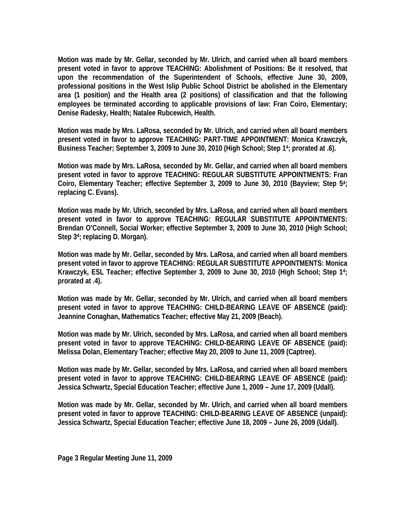**Motion was made by Mr. Gellar, seconded by Mr. Ulrich, and carried when all board members present voted in favor to approve TEACHING: Abolishment of Positions: Be it resolved, that upon the recommendation of the Superintendent of Schools, effective June 30, 2009, professional positions in the West Islip Public School District be abolished in the Elementary area (1 position) and the Health area (2 positions) of classification and that the following employees be terminated according to applicable provisions of law: Fran Coiro, Elementary; Denise Radesky, Health; Natalee Rubcewich, Health.** 

**Motion was made by Mrs. LaRosa, seconded by Mr. Ulrich, and carried when all board members present voted in favor to approve TEACHING: PART-TIME APPOINTMENT: Monica Krawczyk, Business Teacher; September 3, 2009 to June 30, 2010 (High School; Step 14; prorated at .6).** 

**Motion was made by Mrs. LaRosa, seconded by Mr. Gellar, and carried when all board members present voted in favor to approve TEACHING: REGULAR SUBSTITUTE APPOINTMENTS: Fran Coiro, Elementary Teacher; effective September 3, 2009 to June 30, 2010 (Bayview; Step 54; replacing C. Evans).** 

**Motion was made by Mr. Ulrich, seconded by Mrs. LaRosa, and carried when all board members present voted in favor to approve TEACHING: REGULAR SUBSTITUTE APPOINTMENTS: Brendan O'Connell, Social Worker; effective September 3, 2009 to June 30, 2010 (High School; Step 34; replacing D. Morgan).** 

**Motion was made by Mr. Gellar, seconded by Mrs. LaRosa, and carried when all board members present voted in favor to approve TEACHING: REGULAR SUBSTITUTE APPOINTMENTS: Monica Krawczyk, ESL Teacher; effective September 3, 2009 to June 30, 2010 (High School; Step 14; prorated at .4).** 

**Motion was made by Mr. Gellar, seconded by Mr. Ulrich, and carried when all board members present voted in favor to approve TEACHING: CHILD-BEARING LEAVE OF ABSENCE (paid): Jeannine Conaghan, Mathematics Teacher; effective May 21, 2009 (Beach).** 

**Motion was made by Mr. Ulrich, seconded by Mrs. LaRosa, and carried when all board members present voted in favor to approve TEACHING: CHILD-BEARING LEAVE OF ABSENCE (paid): Melissa Dolan, Elementary Teacher; effective May 20, 2009 to June 11, 2009 (Captree).** 

**Motion was made by Mr. Gellar, seconded by Mrs. LaRosa, and carried when all board members present voted in favor to approve TEACHING: CHILD-BEARING LEAVE OF ABSENCE (paid): Jessica Schwartz, Special Education Teacher; effective June 1, 2009 – June 17, 2009 (Udall).** 

**Motion was made by Mr. Gellar, seconded by Mr. Ulrich, and carried when all board members present voted in favor to approve TEACHING: CHILD-BEARING LEAVE OF ABSENCE (unpaid): Jessica Schwartz, Special Education Teacher; effective June 18, 2009 – June 26, 2009 (Udall).**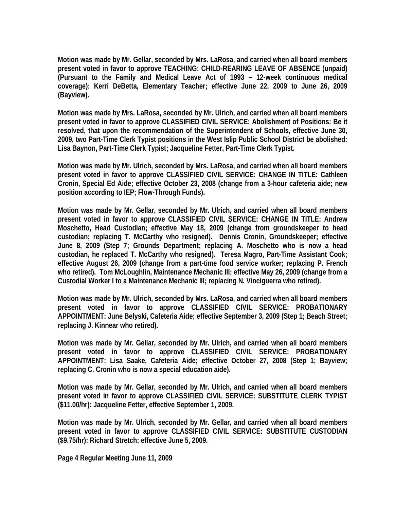**Motion was made by Mr. Gellar, seconded by Mrs. LaRosa, and carried when all board members present voted in favor to approve TEACHING: CHILD-REARING LEAVE OF ABSENCE (unpaid) (Pursuant to the Family and Medical Leave Act of 1993 – 12-week continuous medical coverage): Kerri DeBetta, Elementary Teacher; effective June 22, 2009 to June 26, 2009 (Bayview).** 

**Motion was made by Mrs. LaRosa, seconded by Mr. Ulrich, and carried when all board members present voted in favor to approve CLASSIFIED CIVIL SERVICE: Abolishment of Positions: Be it resolved, that upon the recommendation of the Superintendent of Schools, effective June 30, 2009, two Part-Time Clerk Typist positions in the West Islip Public School District be abolished: Lisa Baynon, Part-Time Clerk Typist; Jacqueline Fetter, Part-Time Clerk Typist.** 

**Motion was made by Mr. Ulrich, seconded by Mrs. LaRosa, and carried when all board members present voted in favor to approve CLASSIFIED CIVIL SERVICE: CHANGE IN TITLE: Cathleen Cronin, Special Ed Aide; effective October 23, 2008 (change from a 3-hour cafeteria aide; new position according to IEP; Flow-Through Funds).** 

**Motion was made by Mr. Gellar, seconded by Mr. Ulrich, and carried when all board members present voted in favor to approve CLASSIFIED CIVIL SERVICE: CHANGE IN TITLE: Andrew Moschetto, Head Custodian; effective May 18, 2009 (change from groundskeeper to head custodian; replacing T. McCarthy who resigned). Dennis Cronin, Groundskeeper; effective June 8, 2009 (Step 7; Grounds Department; replacing A. Moschetto who is now a head custodian, he replaced T. McCarthy who resigned). Teresa Magro, Part-Time Assistant Cook; effective August 26, 2009 (change from a part-time food service worker; replacing P. French who retired). Tom McLoughlin, Maintenance Mechanic III; effective May 26, 2009 (change from a Custodial Worker I to a Maintenance Mechanic III; replacing N. Vinciguerra who retired).** 

**Motion was made by Mr. Ulrich, seconded by Mrs. LaRosa, and carried when all board members present voted in favor to approve CLASSIFIED CIVIL SERVICE: PROBATIONARY APPOINTMENT: June Belyski, Cafeteria Aide; effective September 3, 2009 (Step 1; Beach Street; replacing J. Kinnear who retired).** 

**Motion was made by Mr. Gellar, seconded by Mr. Ulrich, and carried when all board members present voted in favor to approve CLASSIFIED CIVIL SERVICE: PROBATIONARY APPOINTMENT: Lisa Saake, Cafeteria Aide; effective October 27, 2008 (Step 1; Bayview; replacing C. Cronin who is now a special education aide).** 

**Motion was made by Mr. Gellar, seconded by Mr. Ulrich, and carried when all board members present voted in favor to approve CLASSIFIED CIVIL SERVICE: SUBSTITUTE CLERK TYPIST (\$11.00/hr): Jacqueline Fetter, effective September 1, 2009.** 

**Motion was made by Mr. Ulrich, seconded by Mr. Gellar, and carried when all board members present voted in favor to approve CLASSIFIED CIVIL SERVICE: SUBSTITUTE CUSTODIAN (\$9.75/hr): Richard Stretch; effective June 5, 2009.** 

**Page 4 Regular Meeting June 11, 2009**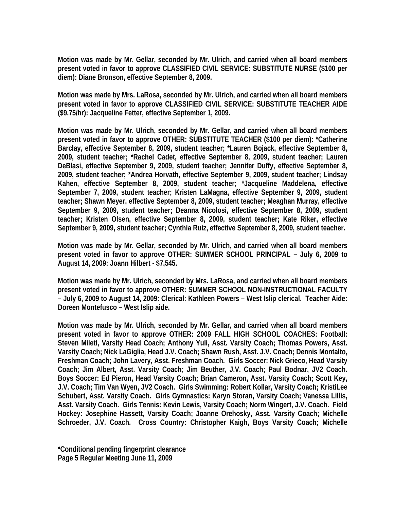**Motion was made by Mr. Gellar, seconded by Mr. Ulrich, and carried when all board members present voted in favor to approve CLASSIFIED CIVIL SERVICE: SUBSTITUTE NURSE (\$100 per diem): Diane Bronson, effective September 8, 2009.** 

**Motion was made by Mrs. LaRosa, seconded by Mr. Ulrich, and carried when all board members present voted in favor to approve CLASSIFIED CIVIL SERVICE: SUBSTITUTE TEACHER AIDE (\$9.75/hr): Jacqueline Fetter, effective September 1, 2009.** 

**Motion was made by Mr. Ulrich, seconded by Mr. Gellar, and carried when all board members present voted in favor to approve OTHER: SUBSTITUTE TEACHER (\$100 per diem): \*Catherine Barclay, effective September 8, 2009, student teacher; \*Lauren Bojack, effective September 8, 2009, student teacher; \*Rachel Cadet, effective September 8, 2009, student teacher; Lauren DeBlasi, effective September 9, 2009, student teacher; Jennifer Duffy, effective September 8, 2009, student teacher; \*Andrea Horvath, effective September 9, 2009, student teacher; Lindsay Kahen, effective September 8, 2009, student teacher; \*Jacqueline Maddelena, effective September 7, 2009, student teacher; Kristen LaMagna, effective September 9, 2009, student teacher; Shawn Meyer, effective September 8, 2009, student teacher; Meaghan Murray, effective September 9, 2009, student teacher; Deanna Nicolosi, effective September 8, 2009, student teacher; Kristen Olsen, effective September 8, 2009, student teacher; Kate Riker, effective September 9, 2009, student teacher; Cynthia Ruiz, effective September 8, 2009, student teacher.** 

**Motion was made by Mr. Gellar, seconded by Mr. Ulrich, and carried when all board members present voted in favor to approve OTHER: SUMMER SCHOOL PRINCIPAL – July 6, 2009 to August 14, 2009: Joann Hilbert - \$7,545.** 

**Motion was made by Mr. Ulrich, seconded by Mrs. LaRosa, and carried when all board members present voted in favor to approve OTHER: SUMMER SCHOOL NON-INSTRUCTIONAL FACULTY – July 6, 2009 to August 14, 2009: Clerical: Kathleen Powers – West Islip clerical. Teacher Aide: Doreen Montefusco – West Islip aide.** 

**Motion was made by Mr. Ulrich, seconded by Mr. Gellar, and carried when all board members present voted in favor to approve OTHER: 2009 FALL HIGH SCHOOL COACHES: Football: Steven Mileti, Varsity Head Coach; Anthony Yuli, Asst. Varsity Coach; Thomas Powers, Asst. Varsity Coach; Nick LaGiglia, Head J.V. Coach; Shawn Rush, Asst. J.V. Coach; Dennis Montalto, Freshman Coach; John Lavery, Asst. Freshman Coach. Girls Soccer: Nick Grieco, Head Varsity Coach; Jim Albert, Asst. Varsity Coach; Jim Beuther, J.V. Coach; Paul Bodnar, JV2 Coach. Boys Soccer: Ed Pieron, Head Varsity Coach; Brian Cameron, Asst. Varsity Coach; Scott Key, J.V. Coach; Tim Van Wyen, JV2 Coach. Girls Swimming: Robert Kollar, Varsity Coach; KristiLee Schubert, Asst. Varsity Coach. Girls Gymnastics: Karyn Storan, Varsity Coach; Vanessa Lillis, Asst. Varsity Coach. Girls Tennis: Kevin Lewis, Varsity Coach; Norm Wingert, J.V. Coach. Field Hockey: Josephine Hassett, Varsity Coach; Joanne Orehosky, Asst. Varsity Coach; Michelle Schroeder, J.V. Coach. Cross Country: Christopher Kaigh, Boys Varsity Coach; Michelle** 

**\*Conditional pending fingerprint clearance Page 5 Regular Meeting June 11, 2009**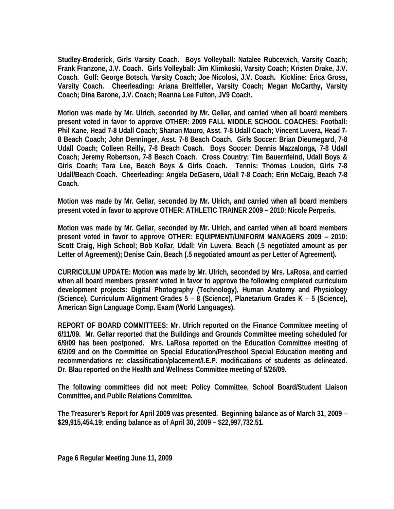**Studley-Broderick, Girls Varsity Coach. Boys Volleyball: Natalee Rubcewich, Varsity Coach; Frank Franzone, J.V. Coach. Girls Volleyball: Jim Klimkoski, Varsity Coach; Kristen Drake, J.V. Coach. Golf: George Botsch, Varsity Coach; Joe Nicolosi, J.V. Coach. Kickline: Erica Gross, Varsity Coach. Cheerleading: Ariana Breitfeller, Varsity Coach; Megan McCarthy, Varsity Coach; Dina Barone, J.V. Coach; Reanna Lee Fulton, JV9 Coach.** 

**Motion was made by Mr. Ulrich, seconded by Mr. Gellar, and carried when all board members present voted in favor to approve OTHER: 2009 FALL MIDDLE SCHOOL COACHES: Football: Phil Kane, Head 7-8 Udall Coach; Shanan Mauro, Asst. 7-8 Udall Coach; Vincent Luvera, Head 7- 8 Beach Coach; John Denninger, Asst. 7-8 Beach Coach. Girls Soccer: Brian Dieumegard, 7-8 Udall Coach; Colleen Reilly, 7-8 Beach Coach. Boys Soccer: Dennis Mazzalonga, 7-8 Udall Coach; Jeremy Robertson, 7-8 Beach Coach. Cross Country: Tim Bauernfeind, Udall Boys & Girls Coach; Tara Lee, Beach Boys & Girls Coach. Tennis: Thomas Loudon, Girls 7-8 Udall/Beach Coach. Cheerleading: Angela DeGasero, Udall 7-8 Coach; Erin McCaig, Beach 7-8 Coach.** 

**Motion was made by Mr. Gellar, seconded by Mr. Ulrich, and carried when all board members present voted in favor to approve OTHER: ATHLETIC TRAINER 2009 – 2010: Nicole Perperis.** 

**Motion was made by Mr. Gellar, seconded by Mr. Ulrich, and carried when all board members present voted in favor to approve OTHER: EQUIPMENT/UNIFORM MANAGERS 2009 – 2010: Scott Craig, High School; Bob Kollar, Udall; Vin Luvera, Beach (.5 negotiated amount as per Letter of Agreement); Denise Cain, Beach (.5 negotiated amount as per Letter of Agreement).** 

**CURRICULUM UPDATE: Motion was made by Mr. Ulrich, seconded by Mrs. LaRosa, and carried when all board members present voted in favor to approve the following completed curriculum development projects: Digital Photography (Technology), Human Anatomy and Physiology (Science), Curriculum Alignment Grades 5 – 8 (Science), Planetarium Grades K – 5 (Science), American Sign Language Comp. Exam (World Languages).** 

**REPORT OF BOARD COMMITTEES: Mr. Ulrich reported on the Finance Committee meeting of 6/11/09. Mr. Gellar reported that the Buildings and Grounds Committee meeting scheduled for 6/9/09 has been postponed. Mrs. LaRosa reported on the Education Committee meeting of 6/2/09 and on the Committee on Special Education/Preschool Special Education meeting and recommendations re: classification/placement/I.E.P. modifications of students as delineated. Dr. Blau reported on the Health and Wellness Committee meeting of 5/26/09.** 

**The following committees did not meet: Policy Committee, School Board/Student Liaison Committee, and Public Relations Committee.** 

**The Treasurer's Report for April 2009 was presented. Beginning balance as of March 31, 2009 – \$29,915,454.19; ending balance as of April 30, 2009 – \$22,997,732.51.**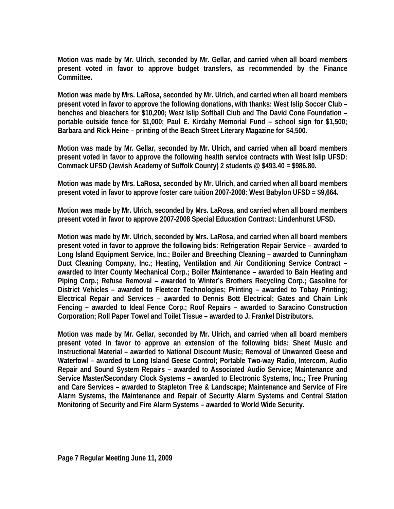**Motion was made by Mr. Ulrich, seconded by Mr. Gellar, and carried when all board members present voted in favor to approve budget transfers, as recommended by the Finance Committee.** 

**Motion was made by Mrs. LaRosa, seconded by Mr. Ulrich, and carried when all board members present voted in favor to approve the following donations, with thanks: West Islip Soccer Club – benches and bleachers for \$10,200; West Islip Softball Club and The David Cone Foundation – portable outside fence for \$1,000; Paul E. Kirdahy Memorial Fund – school sign for \$1,500; Barbara and Rick Heine – printing of the Beach Street Literary Magazine for \$4,500.** 

**Motion was made by Mr. Gellar, seconded by Mr. Ulrich, and carried when all board members present voted in favor to approve the following health service contracts with West Islip UFSD: Commack UFSD (Jewish Academy of Suffolk County) 2 students @ \$493.40 = \$986.80.** 

**Motion was made by Mrs. LaRosa, seconded by Mr. Ulrich, and carried when all board members present voted in favor to approve foster care tuition 2007-2008: West Babylon UFSD = \$9,664.** 

**Motion was made by Mr. Ulrich, seconded by Mrs. LaRosa, and carried when all board members present voted in favor to approve 2007-2008 Special Education Contract: Lindenhurst UFSD.** 

**Motion was made by Mr. Ulrich, seconded by Mrs. LaRosa, and carried when all board members present voted in favor to approve the following bids: Refrigeration Repair Service – awarded to Long Island Equipment Service, Inc.; Boiler and Breeching Cleaning – awarded to Cunningham Duct Cleaning Company, Inc.; Heating, Ventilation and Air Conditioning Service Contract – awarded to Inter County Mechanical Corp.; Boiler Maintenance – awarded to Bain Heating and Piping Corp.; Refuse Removal – awarded to Winter's Brothers Recycling Corp.; Gasoline for District Vehicles – awarded to Fleetcor Technologies; Printing – awarded to Tobay Printing; Electrical Repair and Services – awarded to Dennis Bott Electrical; Gates and Chain Link Fencing – awarded to Ideal Fence Corp.; Roof Repairs – awarded to Saracino Construction Corporation; Roll Paper Towel and Toilet Tissue – awarded to J. Frankel Distributors.** 

**Motion was made by Mr. Gellar, seconded by Mr. Ulrich, and carried when all board members present voted in favor to approve an extension of the following bids: Sheet Music and Instructional Material – awarded to National Discount Music; Removal of Unwanted Geese and Waterfowl – awarded to Long Island Geese Control; Portable Two-way Radio, Intercom, Audio Repair and Sound System Repairs – awarded to Associated Audio Service; Maintenance and Service Master/Secondary Clock Systems – awarded to Electronic Systems, Inc.; Tree Pruning and Care Services – awarded to Stapleton Tree & Landscape; Maintenance and Service of Fire Alarm Systems, the Maintenance and Repair of Security Alarm Systems and Central Station Monitoring of Security and Fire Alarm Systems – awarded to World Wide Security.**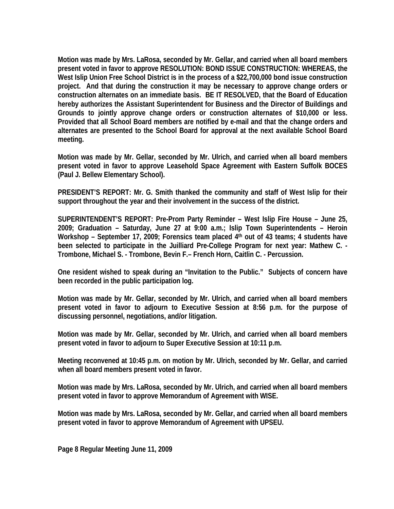**Motion was made by Mrs. LaRosa, seconded by Mr. Gellar, and carried when all board members present voted in favor to approve RESOLUTION: BOND ISSUE CONSTRUCTION: WHEREAS, the West Islip Union Free School District is in the process of a \$22,700,000 bond issue construction project. And that during the construction it may be necessary to approve change orders or construction alternates on an immediate basis. BE IT RESOLVED, that the Board of Education hereby authorizes the Assistant Superintendent for Business and the Director of Buildings and Grounds to jointly approve change orders or construction alternates of \$10,000 or less. Provided that all School Board members are notified by e-mail and that the change orders and alternates are presented to the School Board for approval at the next available School Board meeting.** 

**Motion was made by Mr. Gellar, seconded by Mr. Ulrich, and carried when all board members present voted in favor to approve Leasehold Space Agreement with Eastern Suffolk BOCES (Paul J. Bellew Elementary School).** 

**PRESIDENT'S REPORT: Mr. G. Smith thanked the community and staff of West Islip for their support throughout the year and their involvement in the success of the district.** 

**SUPERINTENDENT'S REPORT: Pre-Prom Party Reminder – West Islip Fire House – June 25, 2009; Graduation – Saturday, June 27 at 9:00 a.m.; Islip Town Superintendents – Heroin**  Workshop - September 17, 2009; Forensics team placed 4<sup>th</sup> out of 43 teams; 4 students have **been selected to participate in the Juilliard Pre-College Program for next year: Mathew C. - Trombone, Michael S. - Trombone, Bevin F.– French Horn, Caitlin C. - Percussion.** 

**One resident wished to speak during an "Invitation to the Public." Subjects of concern have been recorded in the public participation log.** 

**Motion was made by Mr. Gellar, seconded by Mr. Ulrich, and carried when all board members present voted in favor to adjourn to Executive Session at 8:56 p.m. for the purpose of discussing personnel, negotiations, and/or litigation.** 

**Motion was made by Mr. Gellar, seconded by Mr. Ulrich, and carried when all board members present voted in favor to adjourn to Super Executive Session at 10:11 p.m.** 

**Meeting reconvened at 10:45 p.m. on motion by Mr. Ulrich, seconded by Mr. Gellar, and carried when all board members present voted in favor.** 

**Motion was made by Mrs. LaRosa, seconded by Mr. Ulrich, and carried when all board members present voted in favor to approve Memorandum of Agreement with WISE.** 

**Motion was made by Mrs. LaRosa, seconded by Mr. Gellar, and carried when all board members present voted in favor to approve Memorandum of Agreement with UPSEU.** 

**Page 8 Regular Meeting June 11, 2009**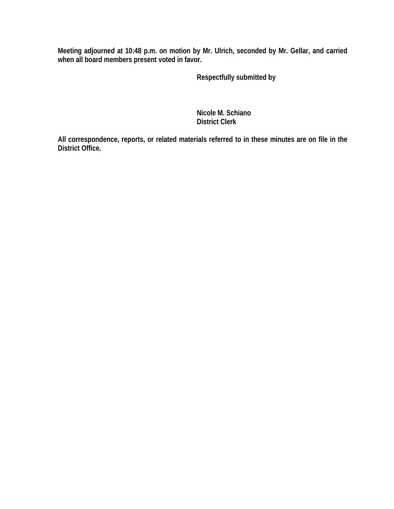**Meeting adjourned at 10:48 p.m. on motion by Mr. Ulrich, seconded by Mr. Gellar, and carried when all board members present voted in favor.** 

 **Respectfully submitted by** 

 **Nicole M. Schiano District Clerk**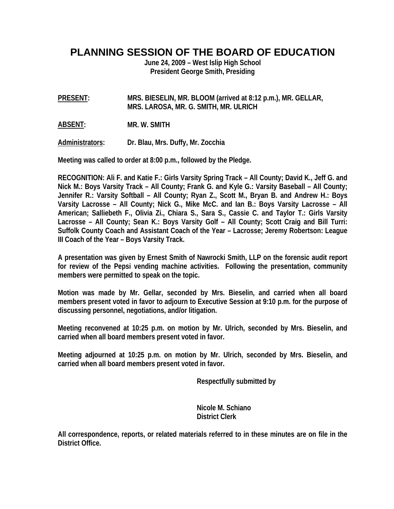**PLANNING SESSION OF THE BOARD OF EDUCATION** 

**June 24, 2009 – West Islip High School President George Smith, Presiding** 

**PRESENT: MRS. BIESELIN, MR. BLOOM (arrived at 8:12 p.m.), MR. GELLAR, MRS. LAROSA, MR. G. SMITH, MR. ULRICH** 

**ABSENT: MR. W. SMITH** 

**Administrators: Dr. Blau, Mrs. Duffy, Mr. Zocchia** 

**Meeting was called to order at 8:00 p.m., followed by the Pledge.** 

**RECOGNITION: Ali F. and Katie F.: Girls Varsity Spring Track – All County; David K., Jeff G. and Nick M.: Boys Varsity Track – All County; Frank G. and Kyle G.: Varsity Baseball – All County; Jennifer R.: Varsity Softball – All County; Ryan Z., Scott M., Bryan B. and Andrew H.: Boys Varsity Lacrosse – All County; Nick G., Mike McC. and Ian B.: Boys Varsity Lacrosse – All American; Salliebeth F., Olivia Zi., Chiara S., Sara S., Cassie C. and Taylor T.: Girls Varsity Lacrosse – All County; Sean K.: Boys Varsity Golf – All County; Scott Craig and Bill Turri: Suffolk County Coach and Assistant Coach of the Year – Lacrosse; Jeremy Robertson: League III Coach of the Year – Boys Varsity Track.** 

**A presentation was given by Ernest Smith of Nawrocki Smith, LLP on the forensic audit report for review of the Pepsi vending machine activities. Following the presentation, community members were permitted to speak on the topic.** 

**Motion was made by Mr. Gellar, seconded by Mrs. Bieselin, and carried when all board members present voted in favor to adjourn to Executive Session at 9:10 p.m. for the purpose of discussing personnel, negotiations, and/or litigation.** 

**Meeting reconvened at 10:25 p.m. on motion by Mr. Ulrich, seconded by Mrs. Bieselin, and carried when all board members present voted in favor.** 

**Meeting adjourned at 10:25 p.m. on motion by Mr. Ulrich, seconded by Mrs. Bieselin, and carried when all board members present voted in favor.** 

 **Respectfully submitted by** 

 **Nicole M. Schiano District Clerk**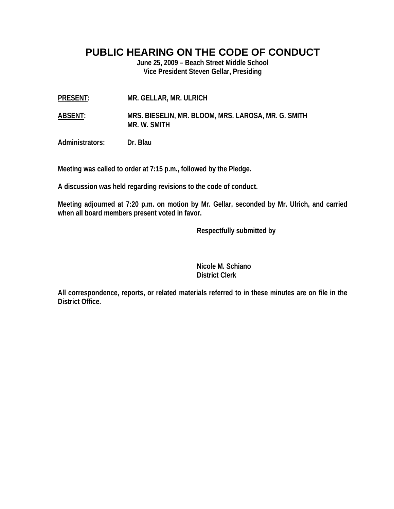**PUBLIC HEARING ON THE CODE OF CONDUCT** 

**June 25, 2009 – Beach Street Middle School Vice President Steven Gellar, Presiding** 

- **PRESENT: MR. GELLAR, MR. ULRICH**
- **ABSENT: MRS. BIESELIN, MR. BLOOM, MRS. LAROSA, MR. G. SMITH MR. W. SMITH**

**Administrators: Dr. Blau** 

**Meeting was called to order at 7:15 p.m., followed by the Pledge.** 

**A discussion was held regarding revisions to the code of conduct.** 

**Meeting adjourned at 7:20 p.m. on motion by Mr. Gellar, seconded by Mr. Ulrich, and carried when all board members present voted in favor.** 

 **Respectfully submitted by** 

 **Nicole M. Schiano District Clerk**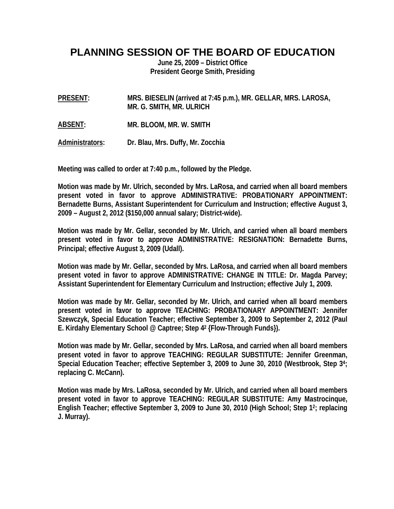## **PLANNING SESSION OF THE BOARD OF EDUCATION**

**June 25, 2009 – District Office President George Smith, Presiding** 

**PRESENT: MRS. BIESELIN (arrived at 7:45 p.m.), MR. GELLAR, MRS. LAROSA, MR. G. SMITH, MR. ULRICH** 

**ABSENT: MR. BLOOM, MR. W. SMITH** 

**Administrators: Dr. Blau, Mrs. Duffy, Mr. Zocchia** 

**Meeting was called to order at 7:40 p.m., followed by the Pledge.** 

**Motion was made by Mr. Ulrich, seconded by Mrs. LaRosa, and carried when all board members present voted in favor to approve ADMINISTRATIVE: PROBATIONARY APPOINTMENT: Bernadette Burns, Assistant Superintendent for Curriculum and Instruction; effective August 3, 2009 – August 2, 2012 (\$150,000 annual salary; District-wide).** 

**Motion was made by Mr. Gellar, seconded by Mr. Ulrich, and carried when all board members present voted in favor to approve ADMINISTRATIVE: RESIGNATION: Bernadette Burns, Principal; effective August 3, 2009 (Udall).** 

**Motion was made by Mr. Gellar, seconded by Mrs. LaRosa, and carried when all board members present voted in favor to approve ADMINISTRATIVE: CHANGE IN TITLE: Dr. Magda Parvey; Assistant Superintendent for Elementary Curriculum and Instruction; effective July 1, 2009.** 

**Motion was made by Mr. Gellar, seconded by Mr. Ulrich, and carried when all board members present voted in favor to approve TEACHING: PROBATIONARY APPOINTMENT: Jennifer Szewczyk, Special Education Teacher; effective September 3, 2009 to September 2, 2012 (Paul E. Kirdahy Elementary School @ Captree; Step 42 {Flow-Through Funds}).** 

**Motion was made by Mr. Gellar, seconded by Mrs. LaRosa, and carried when all board members present voted in favor to approve TEACHING: REGULAR SUBSTITUTE: Jennifer Greenman, Special Education Teacher; effective September 3, 2009 to June 30, 2010 (Westbrook, Step 34; replacing C. McCann).** 

**Motion was made by Mrs. LaRosa, seconded by Mr. Ulrich, and carried when all board members present voted in favor to approve TEACHING: REGULAR SUBSTITUTE: Amy Mastrocinque, English Teacher; effective September 3, 2009 to June 30, 2010 (High School; Step 12; replacing J. Murray).**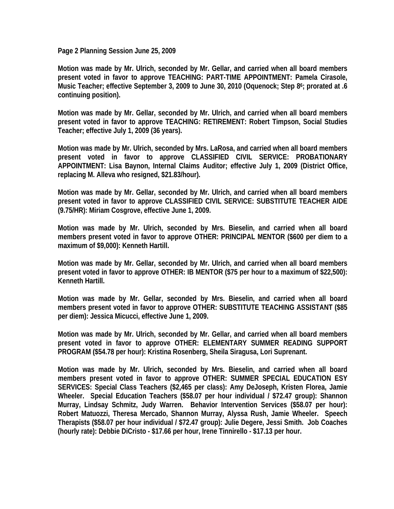**Page 2 Planning Session June 25, 2009** 

**Motion was made by Mr. Ulrich, seconded by Mr. Gellar, and carried when all board members present voted in favor to approve TEACHING: PART-TIME APPOINTMENT: Pamela Cirasole, Music Teacher; effective September 3, 2009 to June 30, 2010 (Oquenock; Step 86; prorated at .6 continuing position).** 

**Motion was made by Mr. Gellar, seconded by Mr. Ulrich, and carried when all board members present voted in favor to approve TEACHING: RETIREMENT: Robert Timpson, Social Studies Teacher; effective July 1, 2009 (36 years).** 

**Motion was made by Mr. Ulrich, seconded by Mrs. LaRosa, and carried when all board members present voted in favor to approve CLASSIFIED CIVIL SERVICE: PROBATIONARY APPOINTMENT: Lisa Baynon, Internal Claims Auditor; effective July 1, 2009 (District Office, replacing M. Alleva who resigned, \$21.83/hour).** 

**Motion was made by Mr. Gellar, seconded by Mr. Ulrich, and carried when all board members present voted in favor to approve CLASSIFIED CIVIL SERVICE: SUBSTITUTE TEACHER AIDE (9.75/HR): Miriam Cosgrove, effective June 1, 2009.** 

**Motion was made by Mr. Ulrich, seconded by Mrs. Bieselin, and carried when all board members present voted in favor to approve OTHER: PRINCIPAL MENTOR (\$600 per diem to a maximum of \$9,000): Kenneth Hartill.** 

**Motion was made by Mr. Gellar, seconded by Mr. Ulrich, and carried when all board members present voted in favor to approve OTHER: IB MENTOR (\$75 per hour to a maximum of \$22,500): Kenneth Hartill.** 

**Motion was made by Mr. Gellar, seconded by Mrs. Bieselin, and carried when all board members present voted in favor to approve OTHER: SUBSTITUTE TEACHING ASSISTANT (\$85 per diem): Jessica Micucci, effective June 1, 2009.** 

**Motion was made by Mr. Ulrich, seconded by Mr. Gellar, and carried when all board members present voted in favor to approve OTHER: ELEMENTARY SUMMER READING SUPPORT PROGRAM (\$54.78 per hour): Kristina Rosenberg, Sheila Siragusa, Lori Suprenant.** 

**Motion was made by Mr. Ulrich, seconded by Mrs. Bieselin, and carried when all board members present voted in favor to approve OTHER: SUMMER SPECIAL EDUCATION ESY SERVICES: Special Class Teachers (\$2,465 per class): Amy DeJoseph, Kristen Florea, Jamie Wheeler. Special Education Teachers (\$58.07 per hour individual / \$72.47 group): Shannon Murray, Lindsay Schmitz, Judy Warren. Behavior Intervention Services (\$58.07 per hour): Robert Matuozzi, Theresa Mercado, Shannon Murray, Alyssa Rush, Jamie Wheeler. Speech Therapists (\$58.07 per hour individual / \$72.47 group): Julie Degere, Jessi Smith. Job Coaches (hourly rate): Debbie DiCristo - \$17.66 per hour, Irene Tinnirello - \$17.13 per hour.**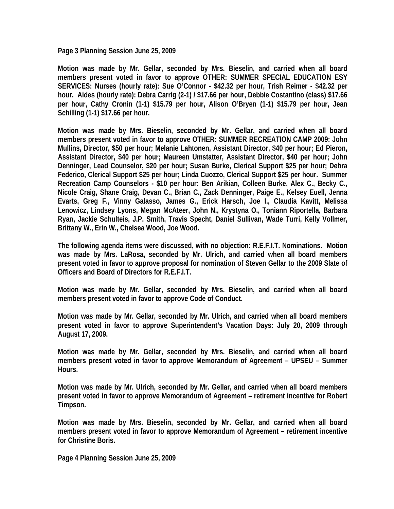**Page 3 Planning Session June 25, 2009** 

**Motion was made by Mr. Gellar, seconded by Mrs. Bieselin, and carried when all board members present voted in favor to approve OTHER: SUMMER SPECIAL EDUCATION ESY SERVICES: Nurses (hourly rate): Sue O'Connor - \$42.32 per hour, Trish Reimer - \$42.32 per hour. Aides (hourly rate): Debra Carrig (2-1) / \$17.66 per hour, Debbie Costantino (class) \$17.66 per hour, Cathy Cronin (1-1) \$15.79 per hour, Alison O'Bryen (1-1) \$15.79 per hour, Jean Schilling (1-1) \$17.66 per hour.** 

**Motion was made by Mrs. Bieselin, seconded by Mr. Gellar, and carried when all board members present voted in favor to approve OTHER: SUMMER RECREATION CAMP 2009: John Mullins, Director, \$50 per hour; Melanie Lahtonen, Assistant Director, \$40 per hour; Ed Pieron, Assistant Director, \$40 per hour; Maureen Umstatter, Assistant Director, \$40 per hour; John Denninger, Lead Counselor, \$20 per hour; Susan Burke, Clerical Support \$25 per hour; Debra Federico, Clerical Support \$25 per hour; Linda Cuozzo, Clerical Support \$25 per hour. Summer Recreation Camp Counselors - \$10 per hour: Ben Arikian, Colleen Burke, Alex C., Becky C., Nicole Craig, Shane Craig, Devan C., Brian C., Zack Denninger, Paige E., Kelsey Euell, Jenna Evarts, Greg F., Vinny Galasso, James G., Erick Harsch, Joe I., Claudia Kavitt, Melissa Lenowicz, Lindsey Lyons, Megan McAteer, John N., Krystyna O., Toniann Riportella, Barbara Ryan, Jackie Schulteis, J.P. Smith, Travis Specht, Daniel Sullivan, Wade Turri, Kelly Vollmer, Brittany W., Erin W., Chelsea Wood, Joe Wood.** 

**The following agenda items were discussed, with no objection: R.E.F.I.T. Nominations. Motion was made by Mrs. LaRosa, seconded by Mr. Ulrich, and carried when all board members present voted in favor to approve proposal for nomination of Steven Gellar to the 2009 Slate of Officers and Board of Directors for R.E.F.I.T.** 

**Motion was made by Mr. Gellar, seconded by Mrs. Bieselin, and carried when all board members present voted in favor to approve Code of Conduct.** 

**Motion was made by Mr. Gellar, seconded by Mr. Ulrich, and carried when all board members present voted in favor to approve Superintendent's Vacation Days: July 20, 2009 through August 17, 2009.** 

**Motion was made by Mr. Gellar, seconded by Mrs. Bieselin, and carried when all board members present voted in favor to approve Memorandum of Agreement – UPSEU – Summer Hours.** 

**Motion was made by Mr. Ulrich, seconded by Mr. Gellar, and carried when all board members present voted in favor to approve Memorandum of Agreement – retirement incentive for Robert Timpson.** 

**Motion was made by Mrs. Bieselin, seconded by Mr. Gellar, and carried when all board members present voted in favor to approve Memorandum of Agreement – retirement incentive for Christine Boris.** 

**Page 4 Planning Session June 25, 2009**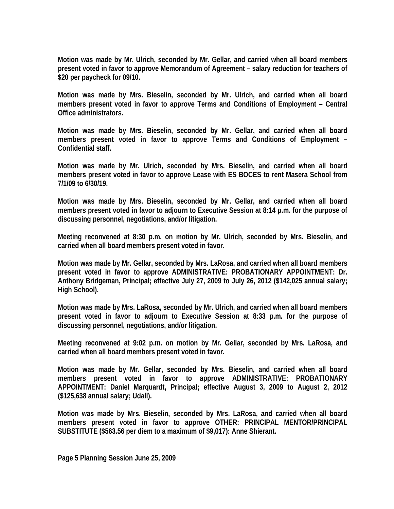**Motion was made by Mr. Ulrich, seconded by Mr. Gellar, and carried when all board members present voted in favor to approve Memorandum of Agreement – salary reduction for teachers of \$20 per paycheck for 09/10.** 

**Motion was made by Mrs. Bieselin, seconded by Mr. Ulrich, and carried when all board members present voted in favor to approve Terms and Conditions of Employment – Central Office administrators.** 

**Motion was made by Mrs. Bieselin, seconded by Mr. Gellar, and carried when all board members present voted in favor to approve Terms and Conditions of Employment – Confidential staff.** 

**Motion was made by Mr. Ulrich, seconded by Mrs. Bieselin, and carried when all board members present voted in favor to approve Lease with ES BOCES to rent Masera School from 7/1/09 to 6/30/19.** 

**Motion was made by Mrs. Bieselin, seconded by Mr. Gellar, and carried when all board members present voted in favor to adjourn to Executive Session at 8:14 p.m. for the purpose of discussing personnel, negotiations, and/or litigation.** 

**Meeting reconvened at 8:30 p.m. on motion by Mr. Ulrich, seconded by Mrs. Bieselin, and carried when all board members present voted in favor.** 

**Motion was made by Mr. Gellar, seconded by Mrs. LaRosa, and carried when all board members present voted in favor to approve ADMINISTRATIVE: PROBATIONARY APPOINTMENT: Dr. Anthony Bridgeman, Principal; effective July 27, 2009 to July 26, 2012 (\$142,025 annual salary; High School).** 

**Motion was made by Mrs. LaRosa, seconded by Mr. Ulrich, and carried when all board members present voted in favor to adjourn to Executive Session at 8:33 p.m. for the purpose of discussing personnel, negotiations, and/or litigation.** 

**Meeting reconvened at 9:02 p.m. on motion by Mr. Gellar, seconded by Mrs. LaRosa, and carried when all board members present voted in favor.** 

**Motion was made by Mr. Gellar, seconded by Mrs. Bieselin, and carried when all board members present voted in favor to approve ADMINISTRATIVE: PROBATIONARY APPOINTMENT: Daniel Marquardt, Principal; effective August 3, 2009 to August 2, 2012 (\$125,638 annual salary; Udall).** 

**Motion was made by Mrs. Bieselin, seconded by Mrs. LaRosa, and carried when all board members present voted in favor to approve OTHER: PRINCIPAL MENTOR/PRINCIPAL SUBSTITUTE (\$563.56 per diem to a maximum of \$9,017): Anne Shierant.**